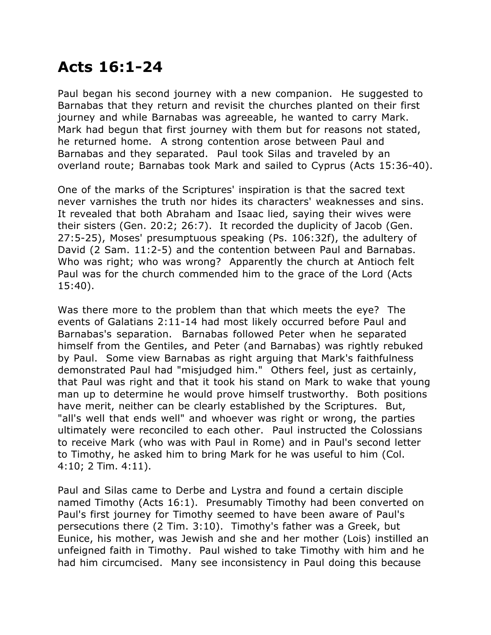## **Acts 16:1-24**

Paul began his second journey with a new companion. He suggested to Barnabas that they return and revisit the churches planted on their first journey and while Barnabas was agreeable, he wanted to carry Mark. Mark had begun that first journey with them but for reasons not stated, he returned home. A strong contention arose between Paul and Barnabas and they separated. Paul took Silas and traveled by an overland route; Barnabas took Mark and sailed to Cyprus (Acts 15:36-40).

One of the marks of the Scriptures' inspiration is that the sacred text never varnishes the truth nor hides its characters' weaknesses and sins. It revealed that both Abraham and Isaac lied, saying their wives were their sisters (Gen. 20:2; 26:7). It recorded the duplicity of Jacob (Gen. 27:5-25), Moses' presumptuous speaking (Ps. 106:32f), the adultery of David (2 Sam. 11:2-5) and the contention between Paul and Barnabas. Who was right; who was wrong? Apparently the church at Antioch felt Paul was for the church commended him to the grace of the Lord (Acts 15:40).

Was there more to the problem than that which meets the eye? The events of Galatians 2:11-14 had most likely occurred before Paul and Barnabas's separation. Barnabas followed Peter when he separated himself from the Gentiles, and Peter (and Barnabas) was rightly rebuked by Paul. Some view Barnabas as right arguing that Mark's faithfulness demonstrated Paul had "misjudged him." Others feel, just as certainly, that Paul was right and that it took his stand on Mark to wake that young man up to determine he would prove himself trustworthy. Both positions have merit, neither can be clearly established by the Scriptures. But, "all's well that ends well" and whoever was right or wrong, the parties ultimately were reconciled to each other. Paul instructed the Colossians to receive Mark (who was with Paul in Rome) and in Paul's second letter to Timothy, he asked him to bring Mark for he was useful to him (Col. 4:10; 2 Tim. 4:11).

Paul and Silas came to Derbe and Lystra and found a certain disciple named Timothy (Acts 16:1). Presumably Timothy had been converted on Paul's first journey for Timothy seemed to have been aware of Paul's persecutions there (2 Tim. 3:10). Timothy's father was a Greek, but Eunice, his mother, was Jewish and she and her mother (Lois) instilled an unfeigned faith in Timothy. Paul wished to take Timothy with him and he had him circumcised. Many see inconsistency in Paul doing this because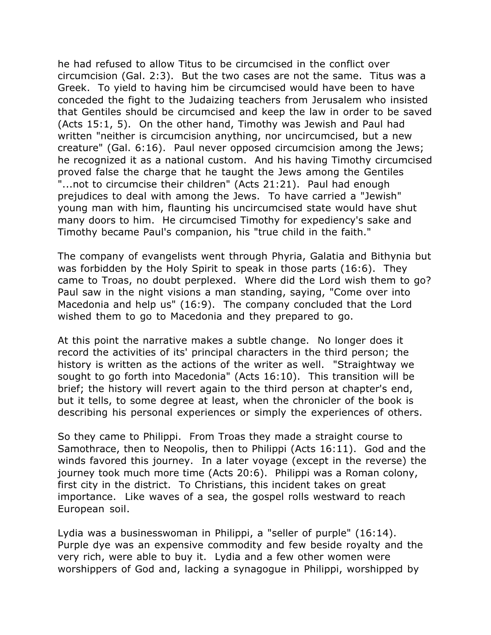he had refused to allow Titus to be circumcised in the conflict over circumcision (Gal. 2:3). But the two cases are not the same. Titus was a Greek. To yield to having him be circumcised would have been to have conceded the fight to the Judaizing teachers from Jerusalem who insisted that Gentiles should be circumcised and keep the law in order to be saved (Acts 15:1, 5). On the other hand, Timothy was Jewish and Paul had written "neither is circumcision anything, nor uncircumcised, but a new creature" (Gal. 6:16). Paul never opposed circumcision among the Jews; he recognized it as a national custom. And his having Timothy circumcised proved false the charge that he taught the Jews among the Gentiles "...not to circumcise their children" (Acts 21:21). Paul had enough prejudices to deal with among the Jews. To have carried a "Jewish" young man with him, flaunting his uncircumcised state would have shut many doors to him. He circumcised Timothy for expediency's sake and Timothy became Paul's companion, his "true child in the faith."

The company of evangelists went through Phyria, Galatia and Bithynia but was forbidden by the Holy Spirit to speak in those parts (16:6). They came to Troas, no doubt perplexed. Where did the Lord wish them to go? Paul saw in the night visions a man standing, saying, "Come over into Macedonia and help us" (16:9). The company concluded that the Lord wished them to go to Macedonia and they prepared to go.

At this point the narrative makes a subtle change. No longer does it record the activities of its' principal characters in the third person; the history is written as the actions of the writer as well. "Straightway we sought to go forth into Macedonia" (Acts 16:10). This transition will be brief; the history will revert again to the third person at chapter's end, but it tells, to some degree at least, when the chronicler of the book is describing his personal experiences or simply the experiences of others.

So they came to Philippi. From Troas they made a straight course to Samothrace, then to Neopolis, then to Philippi (Acts 16:11). God and the winds favored this journey. In a later voyage (except in the reverse) the journey took much more time (Acts 20:6). Philippi was a Roman colony, first city in the district. To Christians, this incident takes on great importance. Like waves of a sea, the gospel rolls westward to reach European soil.

Lydia was a businesswoman in Philippi, a "seller of purple" (16:14). Purple dye was an expensive commodity and few beside royalty and the very rich, were able to buy it. Lydia and a few other women were worshippers of God and, lacking a synagogue in Philippi, worshipped by